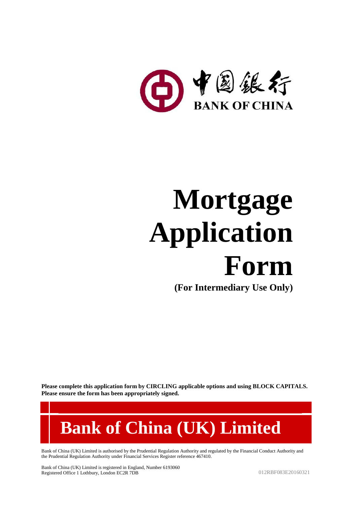

# **Mortgage Application Form**

**(For Intermediary Use Only)**

**Please complete this application form by CIRCLING applicable options and using BLOCK CAPITALS. Please ensure the form has been appropriately signed.**



Bank of China (UK) Limited is authorised by the Prudential Regulation Authority and regulated by the Financial Conduct Authority and the Prudential Regulation Authority under Financial Services Register reference 467410.

Bank of China (UK) Limited is registered in England, Number 6193060 Registered Office 1 Lothbury, London EC2R 7DB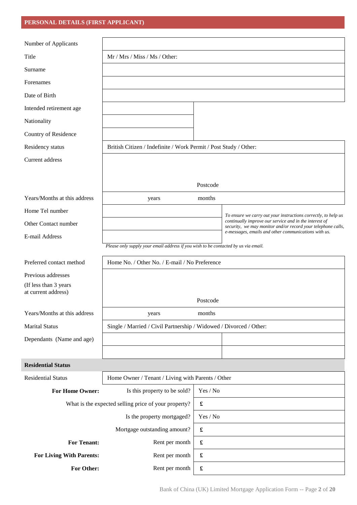# **PERSONAL DETAILS (FIRST APPLICANT)**

| Number of Applicants                         |                                                                                    |                      |                                                                                                                        |
|----------------------------------------------|------------------------------------------------------------------------------------|----------------------|------------------------------------------------------------------------------------------------------------------------|
| Title                                        | $Mr / Mrs / Miss / Ms / Other$ :                                                   |                      |                                                                                                                        |
| Surname                                      |                                                                                    |                      |                                                                                                                        |
| Forenames                                    |                                                                                    |                      |                                                                                                                        |
| Date of Birth                                |                                                                                    |                      |                                                                                                                        |
| Intended retirement age                      |                                                                                    |                      |                                                                                                                        |
| Nationality                                  |                                                                                    |                      |                                                                                                                        |
| Country of Residence                         |                                                                                    |                      |                                                                                                                        |
| Residency status                             | British Citizen / Indefinite / Work Permit / Post Study / Other:                   |                      |                                                                                                                        |
| Current address                              |                                                                                    |                      |                                                                                                                        |
|                                              |                                                                                    |                      |                                                                                                                        |
|                                              |                                                                                    | Postcode             |                                                                                                                        |
| Years/Months at this address                 | years                                                                              | months               |                                                                                                                        |
| Home Tel number                              |                                                                                    |                      | To ensure we carry out your instructions correctly, to help us                                                         |
| Other Contact number                         |                                                                                    |                      | continually improve our service and in the interest of<br>security, we may monitor and/or record your telephone calls, |
| E-mail Address                               |                                                                                    |                      | e-messages, emails and other communications with us.                                                                   |
|                                              | Please only supply your email address if you wish to be contacted by us via email. |                      |                                                                                                                        |
| Preferred contact method                     | Home No. / Other No. / E-mail / No Preference                                      |                      |                                                                                                                        |
| Previous addresses                           |                                                                                    |                      |                                                                                                                        |
| (If less than 3 years<br>at current address) |                                                                                    |                      |                                                                                                                        |
|                                              |                                                                                    | Postcode             |                                                                                                                        |
| Years/Months at this address                 | years                                                                              | months               |                                                                                                                        |
| <b>Marital Status</b>                        | Single / Married / Civil Partnership / Widowed / Divorced / Other:                 |                      |                                                                                                                        |
| Dependants (Name and age)                    |                                                                                    |                      |                                                                                                                        |
|                                              |                                                                                    |                      |                                                                                                                        |
| <b>Residential Status</b>                    |                                                                                    |                      |                                                                                                                        |
| <b>Residential Status</b>                    | Home Owner / Tenant / Living with Parents / Other                                  |                      |                                                                                                                        |
| <b>For Home Owner:</b>                       | Is this property to be sold?                                                       | Yes / No             |                                                                                                                        |
|                                              | What is the expected selling price of your property?                               | $\pmb{\mathfrak{L}}$ |                                                                                                                        |
|                                              | Is the property mortgaged?                                                         | Yes / No             |                                                                                                                        |
|                                              | Mortgage outstanding amount?                                                       |                      |                                                                                                                        |
| <b>For Tenant:</b>                           | Rent per month                                                                     | $\pmb{\mathfrak{L}}$ |                                                                                                                        |
| <b>For Living With Parents:</b>              | Rent per month                                                                     | $\pmb{\mathfrak{L}}$ |                                                                                                                        |
| For Other:                                   | Rent per month                                                                     | $\pmb{\mathfrak{L}}$ |                                                                                                                        |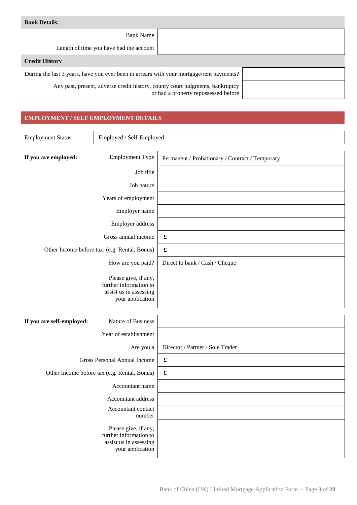| <b>Bank Details:</b>                                                                                                  |  |  |
|-----------------------------------------------------------------------------------------------------------------------|--|--|
| Bank Name                                                                                                             |  |  |
| Length of time you have had the account                                                                               |  |  |
| <b>Credit History</b>                                                                                                 |  |  |
| During the last 3 years, have you ever been in arrears with your mortgage/rent payments?                              |  |  |
| Any past, present, adverse credit history, county court judgments, bankruptcy<br>or had a property repossessed before |  |  |

| <b>Employment Status</b>                                                                     | Employed / Self-Employed                                                                     |                                                 |
|----------------------------------------------------------------------------------------------|----------------------------------------------------------------------------------------------|-------------------------------------------------|
|                                                                                              |                                                                                              |                                                 |
| If you are employed:                                                                         | <b>Employment Type</b>                                                                       | Permanent / Probationary / Contract / Temporary |
|                                                                                              | Job title                                                                                    |                                                 |
|                                                                                              | Job nature                                                                                   |                                                 |
|                                                                                              | Years of employment                                                                          |                                                 |
|                                                                                              | Employer name                                                                                |                                                 |
|                                                                                              | Employer address                                                                             |                                                 |
|                                                                                              | Gross annual income                                                                          | $\pmb{\mathfrak{L}}$                            |
|                                                                                              | Other Income before tax: (e.g. Rental, Bonus)                                                | £                                               |
|                                                                                              | How are you paid?                                                                            | Direct to bank / Cash / Cheque                  |
|                                                                                              | Please give, if any,<br>further information to<br>assist us in assessing<br>your application |                                                 |
| If you are self-employed:                                                                    | Nature of Business                                                                           |                                                 |
|                                                                                              | Year of establishment                                                                        |                                                 |
|                                                                                              | Are you a                                                                                    | Director / Partner / Sole Trader                |
|                                                                                              | Gross Personal Annual Income                                                                 | $\pmb{\mathfrak{L}}$                            |
|                                                                                              | Other Income before tax (e.g. Rental, Bonus)                                                 | $\pmb{\mathfrak{L}}$                            |
|                                                                                              | Accountant name                                                                              |                                                 |
| Accountant address                                                                           |                                                                                              |                                                 |
| Accountant contact<br>number                                                                 |                                                                                              |                                                 |
| Please give, if any,<br>further information to<br>assist us in assessing<br>your application |                                                                                              |                                                 |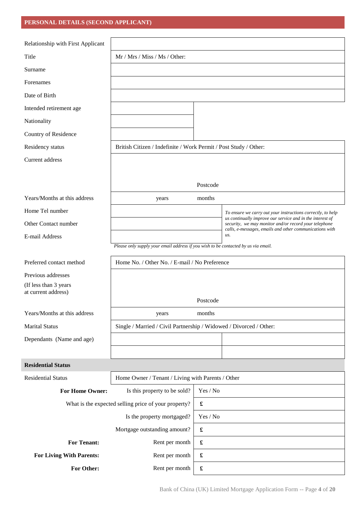# **PERSONAL DETAILS (SECOND APPLICANT)**

| Relationship with First Applicant            |                                                                                    |                      |                                                                                                                    |
|----------------------------------------------|------------------------------------------------------------------------------------|----------------------|--------------------------------------------------------------------------------------------------------------------|
| Title                                        | Mr / Mrs / Miss / Ms / Other:                                                      |                      |                                                                                                                    |
| Surname                                      |                                                                                    |                      |                                                                                                                    |
| Forenames                                    |                                                                                    |                      |                                                                                                                    |
| Date of Birth                                |                                                                                    |                      |                                                                                                                    |
| Intended retirement age                      |                                                                                    |                      |                                                                                                                    |
| Nationality                                  |                                                                                    |                      |                                                                                                                    |
| Country of Residence                         |                                                                                    |                      |                                                                                                                    |
| Residency status                             | British Citizen / Indefinite / Work Permit / Post Study / Other:                   |                      |                                                                                                                    |
| Current address                              |                                                                                    |                      |                                                                                                                    |
|                                              |                                                                                    |                      |                                                                                                                    |
|                                              |                                                                                    | Postcode             |                                                                                                                    |
| Years/Months at this address                 | years                                                                              | months               |                                                                                                                    |
| Home Tel number                              |                                                                                    |                      | To ensure we carry out your instructions correctly, to help                                                        |
| Other Contact number                         |                                                                                    |                      | us continually improve our service and in the interest of<br>security, we may monitor and/or record your telephone |
| E-mail Address                               |                                                                                    |                      | calls, e-messages, emails and other communications with<br>us.                                                     |
|                                              | Please only supply your email address if you wish to be contacted by us via email. |                      |                                                                                                                    |
| Preferred contact method                     | Home No. / Other No. / E-mail / No Preference                                      |                      |                                                                                                                    |
| Previous addresses                           |                                                                                    |                      |                                                                                                                    |
| (If less than 3 years<br>at current address) |                                                                                    |                      |                                                                                                                    |
|                                              |                                                                                    | Postcode             |                                                                                                                    |
| Years/Months at this address                 | years                                                                              | months               |                                                                                                                    |
| <b>Marital Status</b>                        | Single / Married / Civil Partnership / Widowed / Divorced / Other:                 |                      |                                                                                                                    |
| Dependants (Name and age)                    |                                                                                    |                      |                                                                                                                    |
|                                              |                                                                                    |                      |                                                                                                                    |
| <b>Residential Status</b>                    |                                                                                    |                      |                                                                                                                    |
| <b>Residential Status</b>                    | Home Owner / Tenant / Living with Parents / Other                                  |                      |                                                                                                                    |
| For Home Owner:                              | Is this property to be sold?                                                       | Yes / No             |                                                                                                                    |
|                                              | What is the expected selling price of your property?                               | £                    |                                                                                                                    |
|                                              | Is the property mortgaged?                                                         | Yes / No             |                                                                                                                    |
|                                              | Mortgage outstanding amount?                                                       | $\pmb{\mathfrak{L}}$ |                                                                                                                    |
| <b>For Tenant:</b>                           | Rent per month                                                                     | $\pmb{\mathfrak{L}}$ |                                                                                                                    |
| <b>For Living With Parents:</b>              | Rent per month                                                                     | $\pmb{\mathfrak{L}}$ |                                                                                                                    |
| For Other:                                   | Rent per month                                                                     | £                    |                                                                                                                    |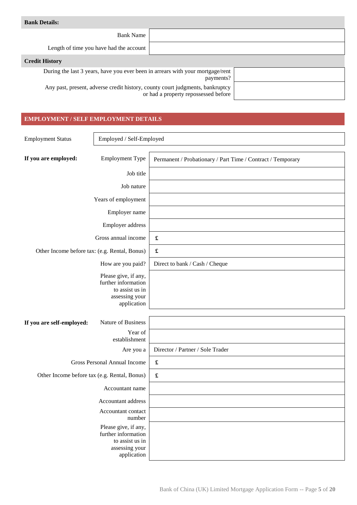| Dalik Details.                                                                                                        |  |  |
|-----------------------------------------------------------------------------------------------------------------------|--|--|
| <b>Bank Name</b>                                                                                                      |  |  |
| Length of time you have had the account                                                                               |  |  |
| <b>Credit History</b>                                                                                                 |  |  |
| During the last 3 years, have you ever been in arrears with your mortgage/rent<br>payments?                           |  |  |
| Any past, present, adverse credit history, county court judgments, bankruptcy<br>or had a property repossessed before |  |  |

| <b>Employment Status</b>                                                                        | Employed / Self-Employed                                                                        |                                                             |
|-------------------------------------------------------------------------------------------------|-------------------------------------------------------------------------------------------------|-------------------------------------------------------------|
|                                                                                                 |                                                                                                 |                                                             |
| If you are employed:                                                                            | <b>Employment Type</b>                                                                          | Permanent / Probationary / Part Time / Contract / Temporary |
|                                                                                                 | Job title                                                                                       |                                                             |
|                                                                                                 | Job nature                                                                                      |                                                             |
|                                                                                                 | Years of employment                                                                             |                                                             |
|                                                                                                 | Employer name                                                                                   |                                                             |
|                                                                                                 | Employer address                                                                                |                                                             |
|                                                                                                 | Gross annual income                                                                             | £                                                           |
| Other Income before tax: (e.g. Rental, Bonus)                                                   |                                                                                                 | $\pmb{\mathfrak{L}}$                                        |
|                                                                                                 | How are you paid?                                                                               | Direct to bank / Cash / Cheque                              |
|                                                                                                 | Please give, if any,<br>further information<br>to assist us in<br>assessing your<br>application |                                                             |
| If you are self-employed:                                                                       | Nature of Business                                                                              |                                                             |
|                                                                                                 | Year of<br>establishment                                                                        |                                                             |
|                                                                                                 | Are you a                                                                                       | Director / Partner / Sole Trader                            |
|                                                                                                 | Gross Personal Annual Income                                                                    | $\pmb{\mathfrak{L}}$                                        |
| Other Income before tax (e.g. Rental, Bonus)                                                    |                                                                                                 | $\pmb{\mathfrak{L}}$                                        |
|                                                                                                 | Accountant name                                                                                 |                                                             |
| Accountant address                                                                              |                                                                                                 |                                                             |
| Accountant contact<br>number                                                                    |                                                                                                 |                                                             |
| Please give, if any,<br>further information<br>to assist us in<br>assessing your<br>application |                                                                                                 |                                                             |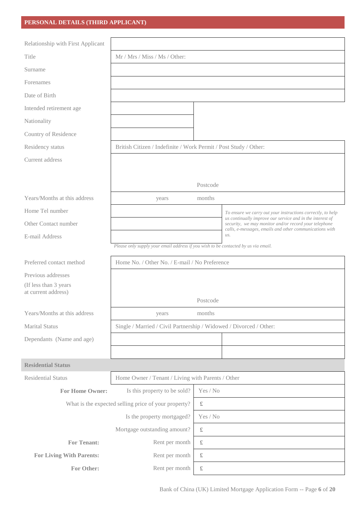# **PERSONAL DETAILS (THIRD APPLICANT)**

| Relationship with First Applicant            |                                                                                    |           |                                                                                                                                                                               |
|----------------------------------------------|------------------------------------------------------------------------------------|-----------|-------------------------------------------------------------------------------------------------------------------------------------------------------------------------------|
| Title                                        | Mr / Mrs / Miss / Ms / Other:                                                      |           |                                                                                                                                                                               |
| Surname                                      |                                                                                    |           |                                                                                                                                                                               |
| Forenames                                    |                                                                                    |           |                                                                                                                                                                               |
| Date of Birth                                |                                                                                    |           |                                                                                                                                                                               |
| Intended retirement age                      |                                                                                    |           |                                                                                                                                                                               |
| Nationality                                  |                                                                                    |           |                                                                                                                                                                               |
| Country of Residence                         |                                                                                    |           |                                                                                                                                                                               |
| Residency status                             | British Citizen / Indefinite / Work Permit / Post Study / Other:                   |           |                                                                                                                                                                               |
| Current address                              |                                                                                    |           |                                                                                                                                                                               |
|                                              |                                                                                    |           |                                                                                                                                                                               |
|                                              |                                                                                    | Postcode  |                                                                                                                                                                               |
| Years/Months at this address                 | years                                                                              | months    |                                                                                                                                                                               |
| Home Tel number                              |                                                                                    |           | To ensure we carry out your instructions correctly, to help                                                                                                                   |
| Other Contact number                         |                                                                                    |           | us continually improve our service and in the interest of<br>security, we may monitor and/or record your telephone<br>calls, e-messages, emails and other communications with |
| E-mail Address                               |                                                                                    |           | us.                                                                                                                                                                           |
|                                              | Please only supply your email address if you wish to be contacted by us via email. |           |                                                                                                                                                                               |
| Preferred contact method                     | Home No. / Other No. / E-mail / No Preference                                      |           |                                                                                                                                                                               |
| Previous addresses                           |                                                                                    |           |                                                                                                                                                                               |
| (If less than 3 years<br>at current address) |                                                                                    |           |                                                                                                                                                                               |
|                                              |                                                                                    | Postcode  |                                                                                                                                                                               |
| Years/Months at this address                 | years                                                                              | months    |                                                                                                                                                                               |
| <b>Marital Status</b>                        | Single / Married / Civil Partnership / Widowed / Divorced / Other:                 |           |                                                                                                                                                                               |
| Dependants (Name and age)                    |                                                                                    |           |                                                                                                                                                                               |
|                                              |                                                                                    |           |                                                                                                                                                                               |
| <b>Residential Status</b>                    |                                                                                    |           |                                                                                                                                                                               |
| <b>Residential Status</b>                    | Home Owner / Tenant / Living with Parents / Other                                  |           |                                                                                                                                                                               |
| <b>For Home Owner:</b>                       | Is this property to be sold?                                                       | Yes / No  |                                                                                                                                                                               |
|                                              | What is the expected selling price of your property?                               | £         |                                                                                                                                                                               |
|                                              | Is the property mortgaged?                                                         | Yes / No  |                                                                                                                                                                               |
|                                              | Mortgage outstanding amount?                                                       | £         |                                                                                                                                                                               |
| <b>For Tenant:</b>                           | Rent per month                                                                     | £         |                                                                                                                                                                               |
| <b>For Living With Parents:</b>              | Rent per month                                                                     | $\pounds$ |                                                                                                                                                                               |
| For Other:                                   | Rent per month                                                                     | $\pounds$ |                                                                                                                                                                               |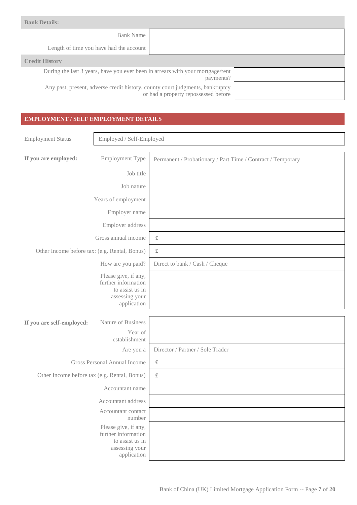| <b>Bank Details:</b>                                                                                                  |  |  |  |
|-----------------------------------------------------------------------------------------------------------------------|--|--|--|
| <b>Bank Name</b>                                                                                                      |  |  |  |
| Length of time you have had the account                                                                               |  |  |  |
| <b>Credit History</b>                                                                                                 |  |  |  |
| During the last 3 years, have you ever been in arrears with your mortgage/rent<br>payments?                           |  |  |  |
| Any past, present, adverse credit history, county court judgments, bankruptcy<br>or had a property repossessed before |  |  |  |

| <b>Employment Status</b>                                                                        | Employed / Self-Employed                                                                        |                                                             |
|-------------------------------------------------------------------------------------------------|-------------------------------------------------------------------------------------------------|-------------------------------------------------------------|
| If you are employed:                                                                            | <b>Employment Type</b>                                                                          | Permanent / Probationary / Part Time / Contract / Temporary |
|                                                                                                 | Job title                                                                                       |                                                             |
|                                                                                                 | Job nature                                                                                      |                                                             |
|                                                                                                 | Years of employment                                                                             |                                                             |
|                                                                                                 | Employer name                                                                                   |                                                             |
|                                                                                                 | Employer address                                                                                |                                                             |
|                                                                                                 | Gross annual income                                                                             | $\pounds$                                                   |
| Other Income before tax: (e.g. Rental, Bonus)                                                   |                                                                                                 | $\pounds$                                                   |
|                                                                                                 | How are you paid?                                                                               | Direct to bank / Cash / Cheque                              |
|                                                                                                 | Please give, if any,<br>further information<br>to assist us in<br>assessing your<br>application |                                                             |
| If you are self-employed:                                                                       | Nature of Business                                                                              |                                                             |
|                                                                                                 | Year of<br>establishment                                                                        |                                                             |
|                                                                                                 | Are you a                                                                                       | Director / Partner / Sole Trader                            |
|                                                                                                 | Gross Personal Annual Income                                                                    | $\pounds$                                                   |
| Other Income before tax (e.g. Rental, Bonus)                                                    |                                                                                                 | $\pounds$                                                   |
|                                                                                                 | Accountant name                                                                                 |                                                             |
| Accountant address                                                                              |                                                                                                 |                                                             |
| Accountant contact<br>number                                                                    |                                                                                                 |                                                             |
| Please give, if any,<br>further information<br>to assist us in<br>assessing your<br>application |                                                                                                 |                                                             |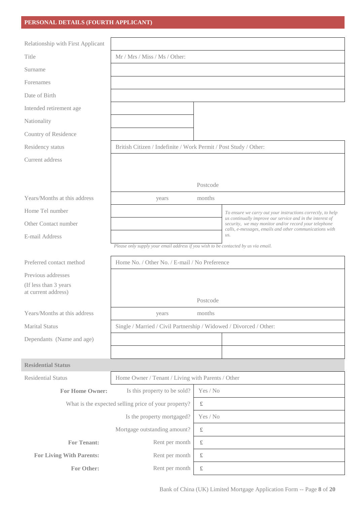# **PERSONAL DETAILS (FOURTH APPLICANT)**

| Relationship with First Applicant            |                                                                                    |           |                                                                                                                    |
|----------------------------------------------|------------------------------------------------------------------------------------|-----------|--------------------------------------------------------------------------------------------------------------------|
| Title                                        | Mr / Mrs / Miss / Ms / Other:                                                      |           |                                                                                                                    |
| Surname                                      |                                                                                    |           |                                                                                                                    |
| Forenames                                    |                                                                                    |           |                                                                                                                    |
| Date of Birth                                |                                                                                    |           |                                                                                                                    |
| Intended retirement age                      |                                                                                    |           |                                                                                                                    |
| Nationality                                  |                                                                                    |           |                                                                                                                    |
| Country of Residence                         |                                                                                    |           |                                                                                                                    |
| Residency status                             | British Citizen / Indefinite / Work Permit / Post Study / Other:                   |           |                                                                                                                    |
| Current address                              |                                                                                    |           |                                                                                                                    |
|                                              |                                                                                    |           |                                                                                                                    |
|                                              |                                                                                    | Postcode  |                                                                                                                    |
| Years/Months at this address                 | years                                                                              | months    |                                                                                                                    |
| Home Tel number                              |                                                                                    |           | To ensure we carry out your instructions correctly, to help                                                        |
| Other Contact number                         |                                                                                    |           | us continually improve our service and in the interest of<br>security, we may monitor and/or record your telephone |
| E-mail Address                               |                                                                                    |           | calls, e-messages, emails and other communications with<br>us.                                                     |
|                                              | Please only supply your email address if you wish to be contacted by us via email. |           |                                                                                                                    |
| Preferred contact method                     | Home No. / Other No. / E-mail / No Preference                                      |           |                                                                                                                    |
| Previous addresses                           |                                                                                    |           |                                                                                                                    |
| (If less than 3 years<br>at current address) |                                                                                    |           |                                                                                                                    |
|                                              |                                                                                    | Postcode  |                                                                                                                    |
| Years/Months at this address                 | years                                                                              | months    |                                                                                                                    |
| <b>Marital Status</b>                        | Single / Married / Civil Partnership / Widowed / Divorced / Other:                 |           |                                                                                                                    |
| Dependants (Name and age)                    |                                                                                    |           |                                                                                                                    |
|                                              |                                                                                    |           |                                                                                                                    |
| <b>Residential Status</b>                    |                                                                                    |           |                                                                                                                    |
| <b>Residential Status</b>                    | Home Owner / Tenant / Living with Parents / Other                                  |           |                                                                                                                    |
| <b>For Home Owner:</b>                       | Is this property to be sold?                                                       | Yes / No  |                                                                                                                    |
|                                              | What is the expected selling price of your property?                               | £         |                                                                                                                    |
|                                              | Is the property mortgaged?                                                         | Yes / No  |                                                                                                                    |
|                                              | Mortgage outstanding amount?                                                       | £         |                                                                                                                    |
| <b>For Tenant:</b>                           | Rent per month                                                                     | £         |                                                                                                                    |
| <b>For Living With Parents:</b>              | Rent per month                                                                     | $\pounds$ |                                                                                                                    |
| For Other:                                   | Rent per month                                                                     | $\pounds$ |                                                                                                                    |

Bank of China (UK) Limited Mortgage Application Form -- Page **8** of **20**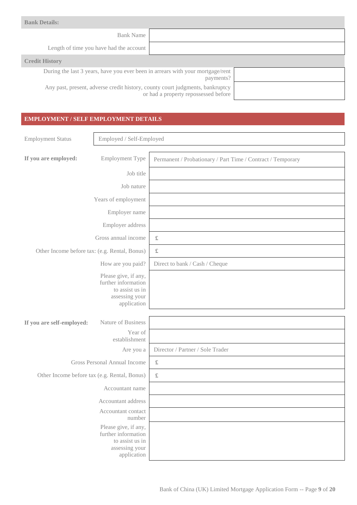| <b>Bank Details:</b>                                                                                                  |  |  |  |
|-----------------------------------------------------------------------------------------------------------------------|--|--|--|
| <b>Bank Name</b>                                                                                                      |  |  |  |
| Length of time you have had the account                                                                               |  |  |  |
| <b>Credit History</b>                                                                                                 |  |  |  |
| During the last 3 years, have you ever been in arrears with your mortgage/rent<br>payments?                           |  |  |  |
| Any past, present, adverse credit history, county court judgments, bankruptcy<br>or had a property repossessed before |  |  |  |

| <b>Employment Status</b>                                                                        | Employed / Self-Employed                                                                        |                                                             |
|-------------------------------------------------------------------------------------------------|-------------------------------------------------------------------------------------------------|-------------------------------------------------------------|
| If you are employed:                                                                            | <b>Employment Type</b>                                                                          | Permanent / Probationary / Part Time / Contract / Temporary |
|                                                                                                 | Job title                                                                                       |                                                             |
|                                                                                                 | Job nature                                                                                      |                                                             |
|                                                                                                 | Years of employment                                                                             |                                                             |
|                                                                                                 | Employer name                                                                                   |                                                             |
|                                                                                                 | Employer address                                                                                |                                                             |
|                                                                                                 | Gross annual income                                                                             | $\pounds$                                                   |
| Other Income before tax: (e.g. Rental, Bonus)                                                   |                                                                                                 | $\pounds$                                                   |
|                                                                                                 | How are you paid?                                                                               | Direct to bank / Cash / Cheque                              |
|                                                                                                 | Please give, if any,<br>further information<br>to assist us in<br>assessing your<br>application |                                                             |
| If you are self-employed:                                                                       | Nature of Business                                                                              |                                                             |
|                                                                                                 | Year of<br>establishment                                                                        |                                                             |
|                                                                                                 | Are you a                                                                                       | Director / Partner / Sole Trader                            |
|                                                                                                 | Gross Personal Annual Income                                                                    | $\pounds$                                                   |
| Other Income before tax (e.g. Rental, Bonus)                                                    |                                                                                                 | $\pounds$                                                   |
|                                                                                                 | Accountant name                                                                                 |                                                             |
| Accountant address                                                                              |                                                                                                 |                                                             |
| Accountant contact<br>number                                                                    |                                                                                                 |                                                             |
| Please give, if any,<br>further information<br>to assist us in<br>assessing your<br>application |                                                                                                 |                                                             |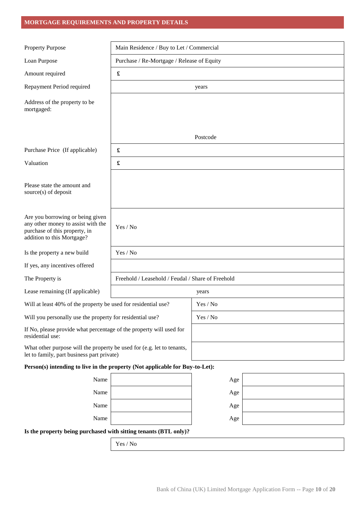## **MORTGAGE REQUIREMENTS AND PROPERTY DETAILS**

| <b>Property Purpose</b>                                                                                                               | Main Residence / Buy to Let / Commercial          |          |  |
|---------------------------------------------------------------------------------------------------------------------------------------|---------------------------------------------------|----------|--|
| Loan Purpose                                                                                                                          | Purchase / Re-Mortgage / Release of Equity        |          |  |
| Amount required                                                                                                                       | $\pmb{\mathfrak{L}}$                              |          |  |
| Repayment Period required                                                                                                             |                                                   | years    |  |
| Address of the property to be<br>mortgaged:                                                                                           |                                                   |          |  |
|                                                                                                                                       |                                                   | Postcode |  |
| Purchase Price (If applicable)                                                                                                        | $\pmb{\mathfrak{L}}$                              |          |  |
| Valuation                                                                                                                             | £                                                 |          |  |
| Please state the amount and<br>source(s) of deposit                                                                                   |                                                   |          |  |
| Are you borrowing or being given<br>any other money to assist with the<br>purchase of this property, in<br>addition to this Mortgage? | Yes / No                                          |          |  |
| Is the property a new build                                                                                                           | Yes / No                                          |          |  |
| If yes, any incentives offered                                                                                                        |                                                   |          |  |
| The Property is                                                                                                                       | Freehold / Leasehold / Feudal / Share of Freehold |          |  |
| Lease remaining (If applicable)                                                                                                       |                                                   | years    |  |
| Will at least 40% of the property be used for residential use?                                                                        |                                                   | Yes / No |  |
| Will you personally use the property for residential use?                                                                             |                                                   | Yes / No |  |
| If No, please provide what percentage of the property will used for<br>residential use:                                               |                                                   |          |  |
| What other purpose will the property be used for (e.g. let to tenants,<br>let to family, part business part private)                  |                                                   |          |  |
| Person(s) intending to live in the property (Not applicable for Buy-to-Let):                                                          |                                                   |          |  |
| Name                                                                                                                                  |                                                   | Age      |  |
| Name                                                                                                                                  |                                                   | Age      |  |
| Name                                                                                                                                  |                                                   | Age      |  |
| Name                                                                                                                                  |                                                   | Age      |  |
| Is the property being purchased with sitting tenants (BTL only)?                                                                      |                                                   |          |  |

Yes / No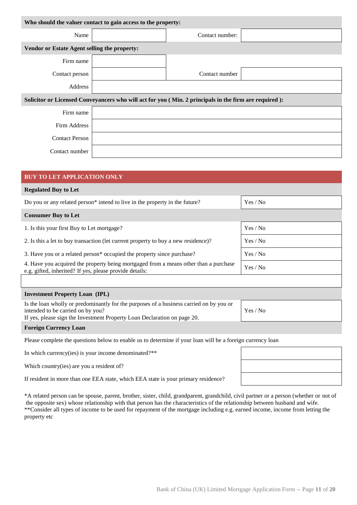| Who should the valuer contact to gain access to the property: |  |                                                                                                       |  |
|---------------------------------------------------------------|--|-------------------------------------------------------------------------------------------------------|--|
| Name                                                          |  | Contact number:                                                                                       |  |
| Vendor or Estate Agent selling the property:                  |  |                                                                                                       |  |
| Firm name                                                     |  |                                                                                                       |  |
| Contact person                                                |  | Contact number                                                                                        |  |
| Address                                                       |  |                                                                                                       |  |
|                                                               |  | Solicitor or Licensed Conveyancers who will act for you (Min. 2 principals in the firm are required): |  |
| Firm name                                                     |  |                                                                                                       |  |
|                                                               |  |                                                                                                       |  |
| Firm Address                                                  |  |                                                                                                       |  |
| <b>Contact Person</b>                                         |  |                                                                                                       |  |
| Contact number                                                |  |                                                                                                       |  |

| <b>BUY TO LET APPLICATION ONLY</b>                                                                                                                                                                       |          |
|----------------------------------------------------------------------------------------------------------------------------------------------------------------------------------------------------------|----------|
| <b>Regulated Buy to Let</b>                                                                                                                                                                              |          |
| Do you or any related person* intend to live in the property in the future?                                                                                                                              | Yes / No |
| <b>Consumer Buy to Let</b>                                                                                                                                                                               |          |
| 1. Is this your first Buy to Let mortgage?                                                                                                                                                               | Yes / No |
| 2. Is this a let to buy transaction (let current property to buy a new residence)?                                                                                                                       | Yes / No |
| 3. Have you or a related person <sup>*</sup> occupied the property since purchase?                                                                                                                       | Yes / No |
| 4. Have you acquired the property being mortgaged from a means other than a purchase<br>e.g. gifted, inherited? If yes, please provide details:                                                          | Yes / No |
|                                                                                                                                                                                                          |          |
| <b>Investment Property Loan (IPL)</b>                                                                                                                                                                    |          |
| Is the loan wholly or predominantly for the purposes of a business carried on by you or<br>intended to be carried on by you?<br>If yes, please sign the Investment Property Loan Declaration on page 20. | Yes / No |
|                                                                                                                                                                                                          |          |

#### **Foreign Currency Loan**

Please complete the questions below to enable us to determine if your loan will be a foreign currency loan

In which currency(ies) is your income denominated?\*\*

Which country(ies) are you a resident of?

If resident in more than one EEA state, which EEA state is your primary residence?

\*A related person can be spouse, parent, brother, sister, child, grandparent, grandchild, civil partner or a person (whether or not of the opposite sex) whose relationship with that person has the characteristics of the relationship between husband and wife. \*\*Consider all types of income to be used for repayment of the mortgage including e.g. earned income, income from letting the property etc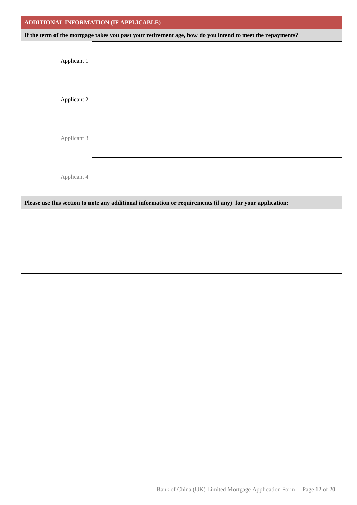#### **ADDITIONAL INFORMATION (IF APPLICABLE)**

**If the term of the mortgage takes you past your retirement age, how do you intend to meet the repayments?**

| Applicant 1 |  |
|-------------|--|
| Applicant 2 |  |
| Applicant 3 |  |
| Applicant 4 |  |

**Please use this section to note any additional information or requirements (if any) for your application:**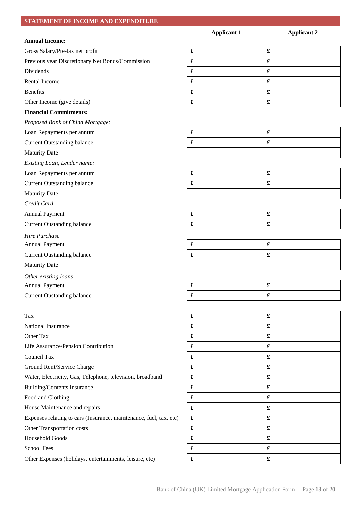# **STATEMENT OF INCOME AND EXPENDITURE**

| STATEMENT OF INCOME AND EXPENDITURE              |                      |                      |
|--------------------------------------------------|----------------------|----------------------|
| <b>Annual Income:</b>                            | <b>Applicant 1</b>   | <b>Applicant 2</b>   |
| Gross Salary/Pre-tax net profit                  | $\pmb{\mathfrak{L}}$ | $\pmb{\mathfrak{L}}$ |
| Previous year Discretionary Net Bonus/Commission | $\pmb{\mathfrak{L}}$ | £                    |
| Dividends                                        | $\pmb{\mathfrak{L}}$ | $\mathbf f$          |
| Rental Income                                    | $\pmb{\mathfrak{L}}$ | $\pmb{\mathfrak{L}}$ |
| <b>Benefits</b>                                  | $\pmb{\mathfrak{L}}$ | $\pmb{\mathfrak{L}}$ |
| Other Income (give details)                      | $\pmb{\mathfrak{L}}$ | $\mathbf f$          |
| <b>Financial Commitments:</b>                    |                      |                      |
| Proposed Bank of China Mortgage:                 |                      |                      |
| Loan Repayments per annum                        | $\pmb{\mathfrak{L}}$ |                      |
| <b>Current Outstanding balance</b>               | $\pmb{\mathfrak{L}}$ | $\pmb{\mathfrak{L}}$ |
| <b>Maturity Date</b>                             |                      |                      |
| Existing Loan, Lender name:                      |                      |                      |
| Loan Repayments per annum                        | $\pmb{\mathfrak{L}}$ |                      |
| <b>Current Outstanding balance</b>               | $\pmb{\mathfrak{L}}$ | $\mathbf f$          |
| <b>Maturity Date</b>                             |                      |                      |
| Credit Card                                      |                      |                      |
| <b>Annual Payment</b>                            | $\pmb{\mathfrak{L}}$ | $\pmb{\pmb{\cdot}}$  |
| <b>Current Oustanding balance</b>                | $\pmb{\mathfrak{L}}$ | £                    |
| Hire Purchase                                    |                      |                      |
| Annual Payment                                   | $\pmb{\mathfrak{L}}$ |                      |
| <b>Current Oustanding balance</b>                | $\pmb{\mathfrak{L}}$ | £                    |
| <b>Maturity Date</b>                             |                      |                      |
| Other existing loans                             |                      |                      |
| <b>Annual Payment</b>                            | $\pmb{\mathfrak{L}}$ | $\pmb{\mathfrak{L}}$ |
| <b>Current Oustanding balance</b>                | $\pmb{\mathfrak{L}}$ |                      |
|                                                  |                      |                      |

| Tax                                                                | £ | £ |
|--------------------------------------------------------------------|---|---|
| National Insurance                                                 | £ | £ |
| Other Tax                                                          | £ | £ |
| Life Assurance/Pension Contribution                                | £ | £ |
| Council Tax                                                        | £ | £ |
| Ground Rent/Service Charge                                         | £ | £ |
| Water, Electricity, Gas, Telephone, television, broadband          | £ | £ |
| <b>Building/Contents Insurance</b>                                 | £ | £ |
| Food and Clothing                                                  | £ | £ |
| House Maintenance and repairs                                      | £ | £ |
| Expenses relating to cars (Insurance, maintenance, fuel, tax, etc) | £ | £ |
| <b>Other Transportation costs</b>                                  | £ | £ |
| <b>Household Goods</b>                                             | £ | £ |
| <b>School Fees</b>                                                 | £ | £ |
| Other Expenses (holidays, entertainments, leisure, etc)            | £ | £ |
|                                                                    |   |   |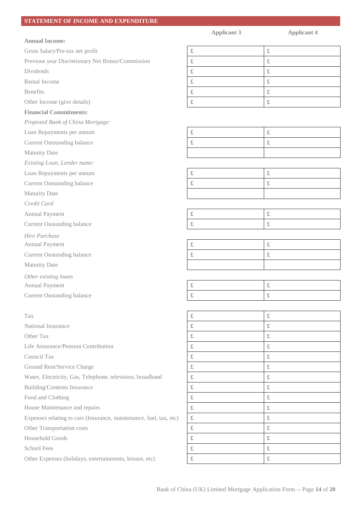# **STATEMENT OF INCOME AND EXPENDITURE**

# **Applicant 3 Applicant 4 Annual Income:**

| Gross Salary/Pre-tax net profit                                    | $\pounds$ | $\pounds$ |
|--------------------------------------------------------------------|-----------|-----------|
| Previous year Discretionary Net Bonus/Commission                   | $\pounds$ | $\pounds$ |
| Dividends                                                          | $\pounds$ | $\pounds$ |
| Rental Income                                                      | $\pounds$ | $\pounds$ |
| <b>Benefits</b>                                                    | $\pounds$ | $\pounds$ |
| Other Income (give details)                                        | $\pounds$ | $\pounds$ |
| <b>Financial Commitments:</b>                                      |           |           |
| Proposed Bank of China Mortgage:                                   |           |           |
| Loan Repayments per annum                                          | $\pounds$ | $\pounds$ |
| <b>Current Outstanding balance</b>                                 | $\pounds$ | $\pounds$ |
| Maturity Date                                                      |           |           |
| Existing Loan, Lender name:                                        |           |           |
| Loan Repayments per annum                                          | $\pounds$ | $\pounds$ |
| <b>Current Outstanding balance</b>                                 | $\pounds$ | $\pounds$ |
| Maturity Date                                                      |           |           |
| Credit Card                                                        |           |           |
| Annual Payment                                                     | $\pounds$ | $\pounds$ |
| <b>Current Oustanding balance</b>                                  | $\pounds$ | $\pounds$ |
| Hire Purchase                                                      |           |           |
| Annual Payment                                                     | $\pounds$ | $\pounds$ |
| <b>Current Oustanding balance</b>                                  | $\pounds$ | $\pounds$ |
| Maturity Date                                                      |           |           |
| Other existing loans                                               |           |           |
| Annual Payment                                                     | $\pounds$ | $\pounds$ |
| <b>Current Oustanding balance</b>                                  | $\pounds$ | $\pounds$ |
|                                                                    |           |           |
| Tax                                                                | £         | $\pounds$ |
| National Insurance                                                 | £         | $\pounds$ |
| Other Tax                                                          | $\pounds$ | $\pounds$ |
| Life Assurance/Pension Contribution                                | $\pounds$ | $\pounds$ |
| Council Tax                                                        | $\pounds$ | $\pounds$ |
| Ground Rent/Service Charge                                         | $\pounds$ | $\pounds$ |
| Water, Electricity, Gas, Telephone, television, broadband          | $\pounds$ | $\pounds$ |
| <b>Building/Contents Insurance</b>                                 | $\pounds$ | $\pounds$ |
| Food and Clothing                                                  | $\pounds$ | $\pounds$ |
| House Maintenance and repairs                                      | $\pounds$ | $\pounds$ |
| Expenses relating to cars (Insurance, maintenance, fuel, tax, etc) | $\pounds$ | $\pounds$ |
| Other Transportation costs                                         | $\pounds$ | $\pounds$ |
| <b>Household Goods</b>                                             | $\pounds$ | $\pounds$ |
| School Fees                                                        | $\pounds$ | $\pounds$ |
| Other Expenses (holidays, entertainments, leisure, etc)            | $\pounds$ | $\pounds$ |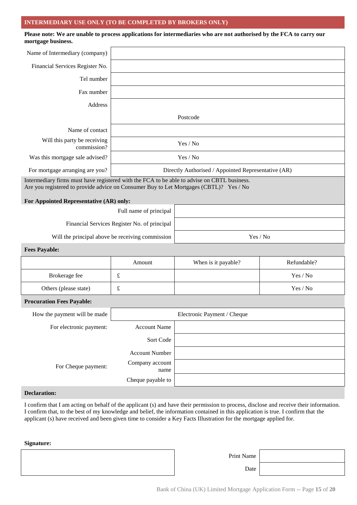#### **INTERMEDIARY USE ONLY (TO BE COMPLETED BY BROKERS ONLY)**

#### **Please note: We are unable to process applications for intermediaries who are not authorised by the FCA to carry our mortgage business.**

| Name of Intermediary (company)                                                                                                                                                        |                           |                                                     |             |
|---------------------------------------------------------------------------------------------------------------------------------------------------------------------------------------|---------------------------|-----------------------------------------------------|-------------|
| Financial Services Register No.                                                                                                                                                       |                           |                                                     |             |
| Tel number                                                                                                                                                                            |                           |                                                     |             |
| Fax number                                                                                                                                                                            |                           |                                                     |             |
| Address                                                                                                                                                                               |                           |                                                     |             |
|                                                                                                                                                                                       |                           | Postcode                                            |             |
| Name of contact                                                                                                                                                                       |                           |                                                     |             |
| Will this party be receiving<br>commission?                                                                                                                                           |                           | Yes / No                                            |             |
| Was this mortgage sale advised?                                                                                                                                                       |                           | Yes / No                                            |             |
| For mortgage arranging are you?                                                                                                                                                       |                           | Directly Authorised / Appointed Representative (AR) |             |
| Intermediary firms must have registered with the FCA to be able to advise on CBTL business.<br>Are you registered to provide advice on Consumer Buy to Let Mortgages (CBTL)? Yes / No |                           |                                                     |             |
| For Appointed Representative (AR) only:                                                                                                                                               |                           |                                                     |             |
|                                                                                                                                                                                       | Full name of principal    |                                                     |             |
| Financial Services Register No. of principal                                                                                                                                          |                           |                                                     |             |
| Will the principal above be receiving commission                                                                                                                                      |                           |                                                     | Yes / No    |
| <b>Fees Payable:</b>                                                                                                                                                                  |                           |                                                     |             |
|                                                                                                                                                                                       | Amount                    | When is it payable?                                 | Refundable? |
| Brokerage fee                                                                                                                                                                         | $\pounds$                 |                                                     | Yes / No    |
| Others (please state)                                                                                                                                                                 | £                         |                                                     | Yes / No    |
| <b>Procuration Fees Payable:</b>                                                                                                                                                      |                           |                                                     |             |
| How the payment will be made                                                                                                                                                          |                           | Electronic Payment / Cheque                         |             |
| For electronic payment:                                                                                                                                                               | <b>Account Name</b>       |                                                     |             |
|                                                                                                                                                                                       | Sort Code                 |                                                     |             |
|                                                                                                                                                                                       | <b>Account Number</b>     |                                                     |             |
| For Cheque payment:                                                                                                                                                                   | Company account           |                                                     |             |
|                                                                                                                                                                                       | name<br>Cheque payable to |                                                     |             |
| <b>Declaration:</b>                                                                                                                                                                   |                           |                                                     |             |
|                                                                                                                                                                                       |                           |                                                     |             |

I confirm that I am acting on behalf of the applicant (s) and have their permission to process, disclose and receive their information. I confirm that, to the best of my knowledge and belief, the information contained in this application is true. I confirm that the applicant (s) have received and been given time to consider a Key Facts Illustration for the mortgage applied for.

#### **Signature:**

| Print Name |  |
|------------|--|
|------------|--|

Date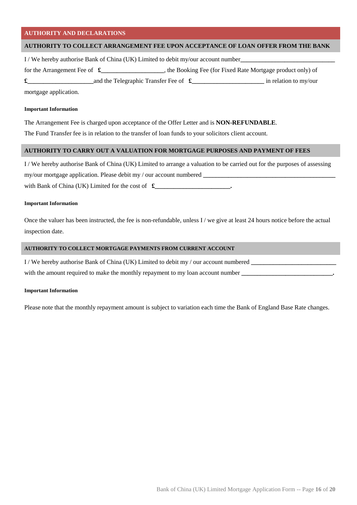#### **AUTHORITY AND DECLARATIONS**

#### **AUTHORITY TO COLLECT ARRANGEMENT FEE UPON ACCEPTANCE OF LOAN OFFER FROM THE BANK**

| I/We hereby authorise Bank of China (UK) Limited to debit my/our account number_ |                                                        |                                                           |                       |
|----------------------------------------------------------------------------------|--------------------------------------------------------|-----------------------------------------------------------|-----------------------|
| for the Arrangement Fee of $\mathbf{\pounds}$                                    |                                                        | the Booking Fee (for Fixed Rate Mortgage product only) of |                       |
|                                                                                  | and the Telegraphic Transfer Fee of $\hat{\mathbf{f}}$ |                                                           | in relation to my/our |
| mortgage application.                                                            |                                                        |                                                           |                       |

#### **Important Information**

The Arrangement Fee is charged upon acceptance of the Offer Letter and is **NON-REFUNDABLE**. The Fund Transfer fee is in relation to the transfer of loan funds to your solicitors client account.

#### **AUTHORITY TO CARRY OUT A VALUATION FOR MORTGAGE PURPOSES AND PAYMENT OF FEES**

I / We hereby authorise Bank of China (UK) Limited to arrange a valuation to be carried out for the purposes of assessing my/our mortgage application. Please debit my / our account numbered **\_\_\_\_\_\_\_\_\_\_\_\_\_\_\_\_\_\_\_\_\_\_\_\_\_\_\_\_\_\_\_\_\_\_\_\_\_\_\_\_\_\_** with Bank of China (UK) Limited for the cost of  $\mathbf{\pounds}$ 

#### **Important Information**

Once the valuer has been instructed, the fee is non-refundable, unless I / we give at least 24 hours notice before the actual inspection date.

#### **AUTHORITY TO COLLECT MORTGAGE PAYMENTS FROM CURRENT ACCOUNT**

I / We hereby authorise Bank of China (UK) Limited to debit my / our account numbered **\_\_\_\_\_\_\_\_\_\_\_\_\_\_\_\_\_\_\_\_\_\_\_\_\_\_\_** with the amount required to make the monthly repayment to my loan account number

#### **Important Information**

Please note that the monthly repayment amount is subject to variation each time the Bank of England Base Rate changes.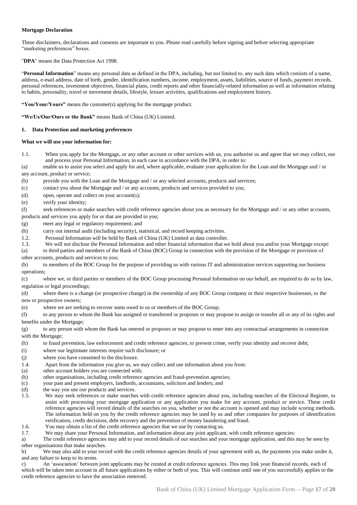#### **Mortgage Declaration**

These disclaimers, declarations and consents are important to you. Please read carefully before signing and before selecting appropriate "marketing preferences" boxes.

"**DPA**" means the Data Protection Act 1998.

"**Personal Information**" means any personal data as defined in the DPA, including, but not limited to, any such data which consists of a name, address, e-mail address, date of birth, gender, identification numbers, income, employment, assets, liabilities, source of funds, payment records, personal references, investment objectives, financial plans, credit reports and other financially-related information as well as information relating to habits, personality, travel or movement details, lifestyle, leisure activities, qualifications and employment history.

**"You/Your/Yours"** means the customer(s) applying for the mortgage product.

**"We/Us/Our/Ours or the Bank"** means Bank of China (UK) Limited.

#### **1. Data Protection and marketing preferences**

#### **What we will use your information for:**

1.1. When you apply for the Mortgage, or any other account or other services with us, you authorise us and agree that we may collect, use and process your Personal Information, in each case in accordance with the DPA, in order to:

(a) enable us to assist you select and apply for and, where applicable, evaluate your application for the Loan and the Mortgage and / or any account, product or service;

- (b) provide you with the Loan and the Mortgage and / or any selected accounts, products and services;
- (c) contact you about the Mortgage and / or any accounts, products and services provided to you;
- (d) open, operate and collect on your account(s);
- (e) verify your identity;

(f) seek references or make searches with credit reference agencies about you as necessary for the Mortgage and / or any other accounts, products and services you apply for or that are provided to you;

- (g) meet any legal or regulatory requirement; and
- (h) carry out internal audit (including security), statistical, and record keeping activities.
- 1.2. Personal Information will be held by Bank of China (UK) Limited as data controller.
- 1.3. We will not disclose the Personal Information and other financial information that we hold about you and/or your Mortgage except:

(a) to third parties and members of the Bank of China (BOC) Group in connection with the provision of the Mortgage or provision of other accounts, products and services to you;

(b) to members of the BOC Group for the purpose of providing us with various IT and administration services supporting our business operations;

(c) where we, or third parties or members of the BOC Group processing Personal Information on our behalf, are required to do so by law, regulation or legal proceedings;

(d) where there is a change (or prospective change) in the ownership of any BOC Group company or their respective businesses, to the new or prospective owners;

(e) where we are seeking to recover sums owed to us or members of the BOC Group;

(f) to any person to whom the Bank has assigned or transferred or proposes or may propose to assign or transfer all or any of its rights and benefits under the Mortgage;

- (g) to any person with whom the Bank has entered or proposes or may propose to enter into any contractual arrangements in connection with the Mortgage;
- (h) to fraud prevention, law enforcement and credit reference agencies, to prevent crime, verify your identity and recover debt;
- (i) where our legitimate interests require such disclosure; or
- (j) where you have consented to the disclosure.
- 1.4. Apart from the information you give us, we may collect and use information about you from:
- (a) other account holders you are connected with;
- (b) other organisations, including credit reference agencies and fraud-prevention agencies;
- (c) your past and present employers, landlords, accountants, solicitors and lenders; and
- (d) the way you use our products and services.
- 1.5. We may seek references or make searches with credit reference agencies about you, including searches of the Electoral Register, to assist with processing your mortgage application or any application you make for any account, product or service. These credit reference agencies will record details of the searches on you, whether or not the account is opened and may include scoring methods. The information held on you by the credit reference agencies may be used by us and other companies for purposes of identification verification, credit decisions, debt recovery and the prevention of money laundering and fraud.
- 1.6. You may obtain a list of the credit reference agencies that we use by contacting us.
- 1.7. We may share your Personal Information, and information about any joint applicant, with credit reference agencies:

a) The credit reference agencies may add to your record details of our searches and your mortgage application, and this may be seen by other organisations that make searches.

b) We may also add to your record with the credit reference agencies details of your agreement with us, the payments you make under it, and any failure to keep to its terms.

c) An 'association' between joint applicants may be created at credit reference agencies. This may link your financial records, each of which will be taken into account in all future applications by either or both of you. This will continue until one of you successfully applies to the credit reference agencies to have the association removed.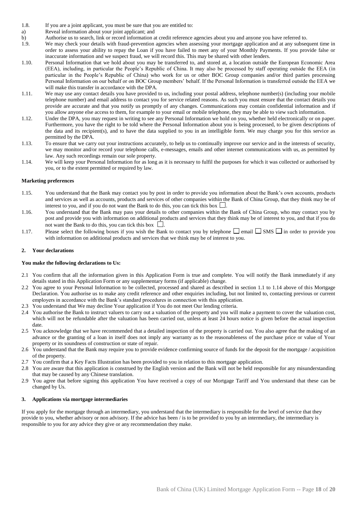- 1.8. If you are a joint applicant, you must be sure that you are entitled to:
- a) Reveal information about your joint applicant; and
- b) Authorise us to search, link or record information at credit reference agencies about you and anyone you have referred to.
- 1.9. We may check your details with fraud-prevention agencies when assessing your mortgage application and at any subsequent time in order to assess your ability to repay the Loan if you have failed to meet any of your Monthly Payments. If you provide false or inaccurate information and we suspect fraud, we will record this. This may be shared with other lenders.
- 1.10. Personal Information that we hold about you may be transferred to, and stored at, a location outside the European Economic Area (EEA), including, in particular the People's Republic of China. It may also be processed by staff operating outside the EEA (in particular in the People's Republic of China) who work for us or other BOC Group companies and/or third parties processing Personal Information on our behalf or on BOC Group members' behalf. If the Personal Information is transferred outside the EEA we will make this transfer in accordance with the DPA.
- 1.11. We may use any contact details you have provided to us, including your postal address, telephone number(s) (including your mobile telephone number) and email address to contact you for service related reasons. As such you must ensure that the contact details you provide are accurate and that you notify us promptly of any changes. Communications may contain confidential information and if you allow anyone else access to them, for example to your email or mobile telephone, they may be able to view such information.
- 1.12. Under the DPA, you may request in writing to see any Personal Information we hold on you, whether held electronically or on paper. Furthermore, you have the right to be told where the Personal Information about you is being processed, to be given descriptions of the data and its recipient(s), and to have the data supplied to you in an intelligible form. We may charge you for this service as permitted by the DPA.
- 1.13. To ensure that we carry out your instructions accurately, to help us to continually improve our service and in the interests of security, we may monitor and/or record your telephone calls, e-messages, emails and other internet communications with us, as permitted by law. Any such recordings remain our sole property.
- 1.14. We will keep your Personal Information for as long as it is necessary to fulfil the purposes for which it was collected or authorised by you, or to the extent permitted or required by law.

#### **Marketing preferences**

- 1.15. You understand that the Bank may contact you by post in order to provide you information about the Bank's own accounts, products and services as well as accounts, products and services of other companies within the Bank of China Group, that they think may be of interest to you, and if you do not want the Bank to do this, you can tick this box  $\Box$ .
- 1.16. You understand that the Bank may pass your details to other companies within the Bank of China Group, who may contact you by post and provide you with information on additional products and services that they think may be of interest to you, and that if you do not want the Bank to do this, you can tick this box  $\Box$ .
- 1.17. Please select the following boxes if you wish the Bank to contact you by telephone  $\square$  email  $\square$  SMS  $\square$  in order to provide you with information on additional products and services that we think may be of interest to you.

#### **2. Your declarations**

#### **You make the following declarations to Us:**

- 2.1 You confirm that all the information given in this Application Form is true and complete. You will notify the Bank immediately if any details stated in this Application Form or any supplementary forms (if applicable) change.
- 2.2 You agree to your Personal Information to be collected, processed and shared as described in section 1.1 to 1.14 above of this Mortgage Declaration. You authorise us to make any credit reference and other enquiries including, but not limited to, contacting previous or current employers in accordance with the Bank's standard procedures in connection with this application.
- 2.3 You understand that We may decline Your application if You do not meet Our lending criteria.
- 2.4 You authorise the Bank to instruct valuers to carry out a valuation of the property and you will make a payment to cover the valuation cost, which will not be refundable after the valuation has been carried out, unless at least 24 hours notice is given before the actual inspection date.
- 2.5 You acknowledge that we have recommended that a detailed inspection of the property is carried out. You also agree that the making of an advance or the granting of a loan in itself does not imply any warranty as to the reasonableness of the purchase price or value of Your property or its soundness of construction or state of repair.
- 2.6 You understand that the Bank may require you to provide evidence confirming source of funds for the deposit for the mortgage / acquisition of the property.
- 2.7 You confirm that a Key Facts Illustration has been provided to you in relation to this mortgage application.
- 2.8 You are aware that this application is construed by the English version and the Bank will not be held responsible for any misunderstanding that may be caused by any Chinese translation.
- 2.9 You agree that before signing this application You have received a copy of our Mortgage Tariff and You understand that these can be changed by Us.

#### **3. Applications via mortgage intermediaries**

If you apply for the mortgage through an intermediary, you understand that the intermediary is responsible for the level of service that they provide to you, whether advisory or non advisory. If the advice has been / is to be provided to you by an intermediary, the intermediary is responsible to you for any advice they give or any recommendation they make.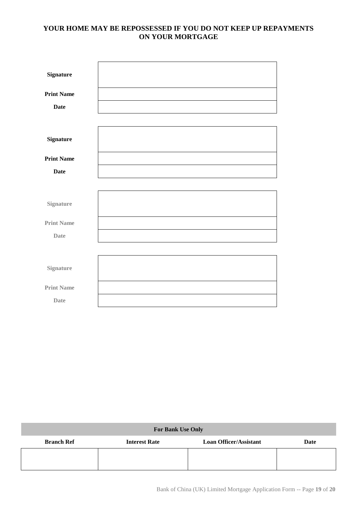# **YOUR HOME MAY BE REPOSSESSED IF YOU DO NOT KEEP UP REPAYMENTS ON YOUR MORTGAGE**

| Signature         |  |
|-------------------|--|
| <b>Print Name</b> |  |
| <b>Date</b>       |  |
|                   |  |
| <b>Signature</b>  |  |
| <b>Print Name</b> |  |
| <b>Date</b>       |  |
|                   |  |
| Signature         |  |
| <b>Print Name</b> |  |
| <b>Date</b>       |  |
|                   |  |
| Signature         |  |
| <b>Print Name</b> |  |
| <b>Date</b>       |  |

| <b>For Bank Use Only</b> |                      |                               |      |
|--------------------------|----------------------|-------------------------------|------|
| <b>Branch Ref</b>        | <b>Interest Rate</b> | <b>Loan Officer/Assistant</b> | Date |
|                          |                      |                               |      |
|                          |                      |                               |      |